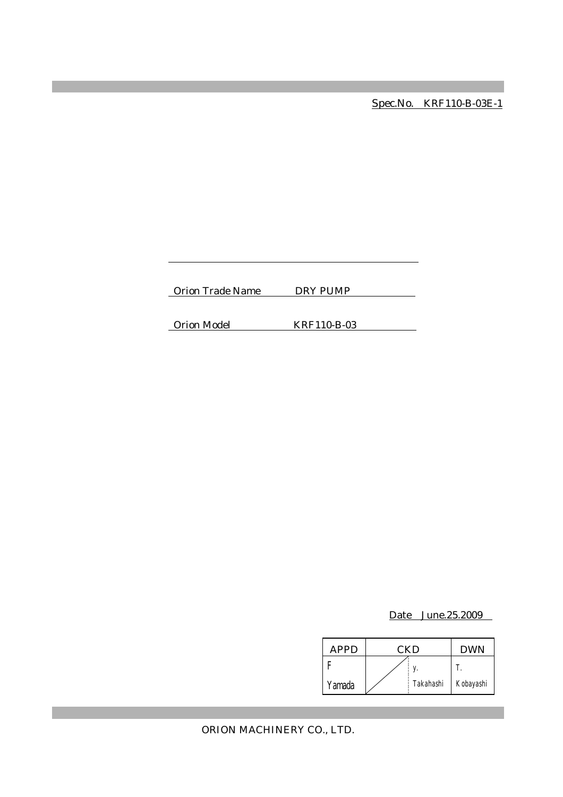Spec.No. KRF110-B-03E-1

Orion Trade Name DRY PUMP

Orion Model KRF110-B-03

Date June.25.2009

| APPD   | CKD |           | <b>DWN</b> |
|--------|-----|-----------|------------|
|        |     |           |            |
| Yamada |     | Takahashi | Kobayashi  |

ORION MACHINERY CO., LTD.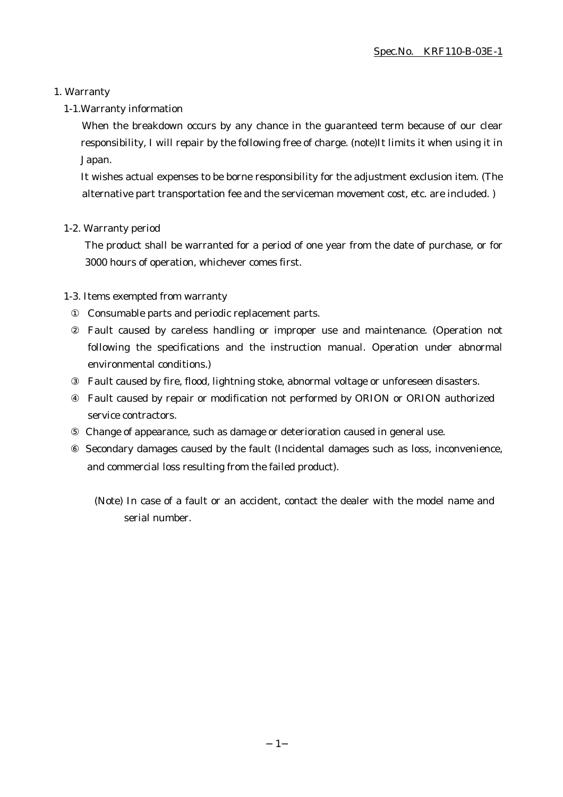# 1. Warranty

# 1-1.Warranty information

When the breakdown occurs by any chance in the guaranteed term because of our clear responsibility, I will repair by the following free of charge. (note)It limits it when using it in Japan.

It wishes actual expenses to be borne responsibility for the adjustment exclusion item. (The alternative part transportation fee and the serviceman movement cost, etc. are included. )

# 1-2. Warranty period

The product shall be warranted for a period of one year from the date of purchase, or for 3000 hours of operation, whichever comes first.

# 1-3. Items exempted from warranty

Consumable parts and periodic replacement parts.

Fault caused by careless handling or improper use and maintenance. (Operation not following the specifications and the instruction manual. Operation under abnormal environmental conditions.)

Fault caused by fire, flood, lightning stoke, abnormal voltage or unforeseen disasters.

Fault caused by repair or modification not performed by ORION or ORION authorized service contractors.

Change of appearance, such as damage or deterioration caused in general use.

 Secondary damages caused by the fault (Incidental damages such as loss, inconvenience, and commercial loss resulting from the failed product).

(Note) In case of a fault or an accident, contact the dealer with the model name and serial number.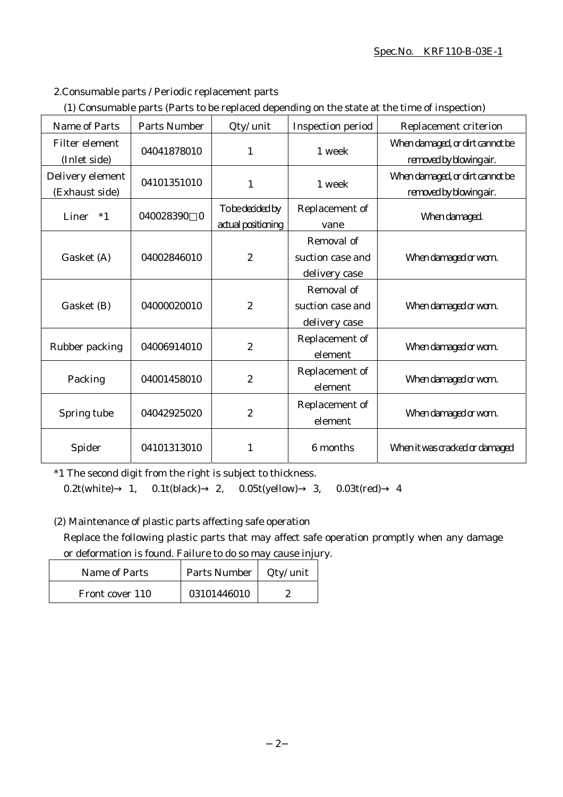# Spec.No. KRF110-B-03E-1

2.Consumable parts / Periodic replacement parts

|  | (1) Consumable parts (Parts to be replaced depending on the state at the time of inspection) |
|--|----------------------------------------------------------------------------------------------|
|  |                                                                                              |

| Name of Parts                         | <b>Parts Number</b>   | Qty/ unit                              | <b>Inspection period</b>                        | Replacement criterion                                      |
|---------------------------------------|-----------------------|----------------------------------------|-------------------------------------------------|------------------------------------------------------------|
| <b>Filter element</b><br>(Inlet side) | 04041878010           | $\mathbf{1}$                           | 1 week                                          | When damaged, or dirt cannot be<br>removed by blowing air. |
| Delivery element<br>(Exhaust side)    | 04101351010           | $\mathbf{1}$                           | 1 week                                          | When damaged, or dirt cannot be<br>removed by blowing air. |
| Liner<br>$*1$                         | 040028390<br>$\bf{0}$ | To be decided by<br>actual positioning | Replacement of<br>vane                          | When damaged.                                              |
| Gasket (A)                            | 04002846010           | $\boldsymbol{2}$                       | Removal of<br>suction case and<br>delivery case | When damaged or worn.                                      |
| Gasket (B)                            | 04000020010           | $\boldsymbol{2}$                       | Removal of<br>suction case and<br>delivery case | When damaged or worn.                                      |
| Rubber packing                        | 04006914010           | $\boldsymbol{2}$                       | Replacement of<br>element                       | When damaged or worn.                                      |
| Packing                               | 04001458010           | $\boldsymbol{2}$                       | Replacement of<br>element                       | When damaged or worn.                                      |
| Spring tube                           | 04042925020           | $\boldsymbol{2}$                       | Replacement of<br>element                       | When damaged or worn.                                      |
| Spider                                | 04101313010           | 1                                      | 6 months                                        | When it was cracked or damaged                             |

\*1 The second digit from the right is subject to thickness.

0.2t(white) 1, 0.1t(black) 2, 0.05t(yellow) 3, 0.03t(red) 4

(2) Maintenance of plastic parts affecting safe operation

Replace the following plastic parts that may affect safe operation promptly when any damage or deformation is found. Failure to do so may cause injury.

| Name of Parts   | Parts Number | Qty/ unit |
|-----------------|--------------|-----------|
| Front cover 110 | 03101446010  |           |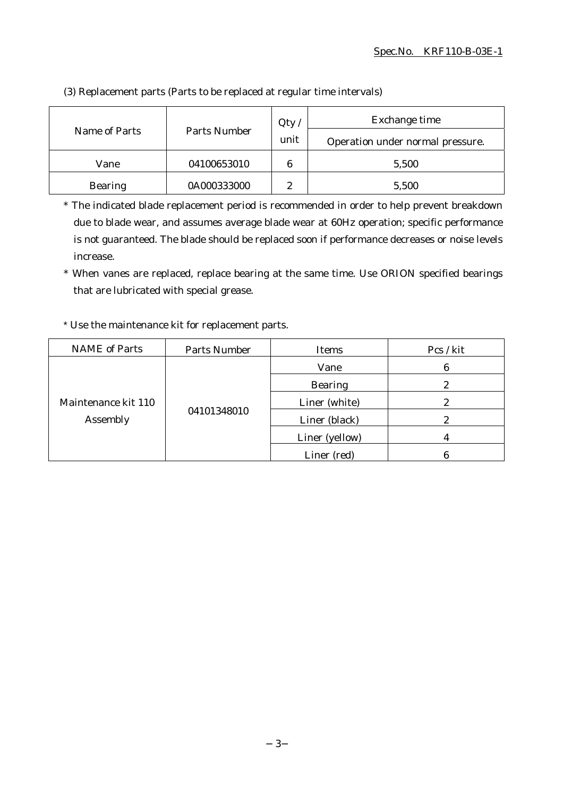|                               |             | Qty                              | Exchange time |  |
|-------------------------------|-------------|----------------------------------|---------------|--|
| Parts Number<br>Name of Parts | unit        | Operation under normal pressure. |               |  |
| Vane                          | 04100653010 | 6                                | 5,500         |  |
| <b>Bearing</b>                | 0A000333000 | 9                                | 5,500         |  |

(3) Replacement parts (Parts to be replaced at regular time intervals)

\* The indicated blade replacement period is recommended in order to help prevent breakdown due to blade wear, and assumes average blade wear at 60Hz operation; specific performance is not guaranteed. The blade should be replaced soon if performance decreases or noise levels increase.

\* When vanes are replaced, replace bearing at the same time. Use ORION specified bearings that are lubricated with special grease.

\* Use the maintenance kit for replacement parts.

| <b>NAME</b> of Parts            | <b>Parts Number</b> | Items          | Pcs / kit |
|---------------------------------|---------------------|----------------|-----------|
| Maintenance kit 110<br>Assembly | 04101348010         | Vane           | 6         |
|                                 |                     | <b>Bearing</b> | 2         |
|                                 |                     | Liner (white)  |           |
|                                 |                     | Liner (black)  |           |
|                                 |                     | Liner (yellow) |           |
|                                 |                     | Liner (red)    |           |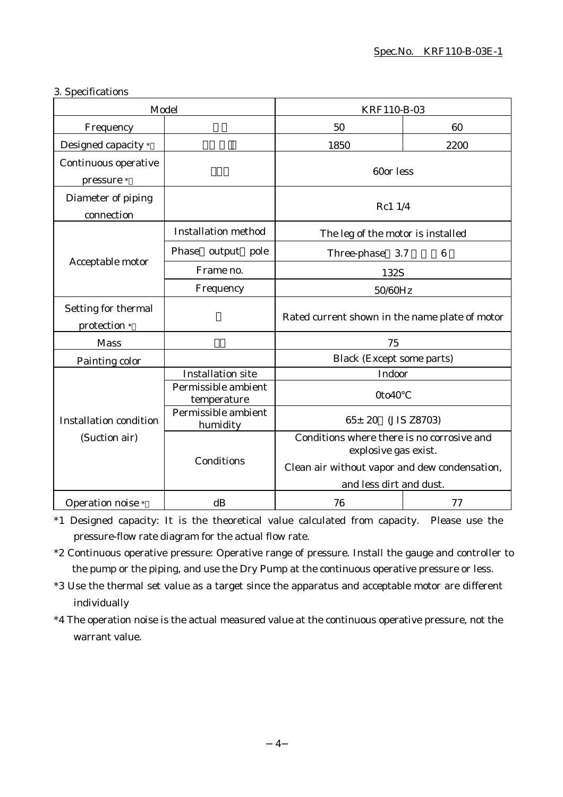# 3. Specifications

| Model                               |                                    | KRF110-B-03                                                                                      |                  |
|-------------------------------------|------------------------------------|--------------------------------------------------------------------------------------------------|------------------|
| Frequency                           |                                    | 50                                                                                               | 60               |
| Designed capacity *                 |                                    | 1850                                                                                             | 2200             |
| Continuous operative<br>pressure *  |                                    | 60or less                                                                                        |                  |
| Diameter of piping<br>connection    |                                    | Rc1 1/4                                                                                          |                  |
|                                     | <b>Installation method</b>         | The leg of the motor is installed                                                                |                  |
|                                     | Phase output pole                  | Three-phase<br>3.7                                                                               | $\boldsymbol{6}$ |
| Acceptable motor                    | Frame no.                          | 132S                                                                                             |                  |
|                                     | Frequency                          | 50/60Hz                                                                                          |                  |
| Setting for thermal<br>protection * |                                    | Rated current shown in the name plate of motor                                                   |                  |
| <b>Mass</b>                         |                                    | 75                                                                                               |                  |
| Painting color                      |                                    | <b>Black (Except some parts)</b>                                                                 |                  |
|                                     | <b>Installation site</b>           | Indoor                                                                                           |                  |
|                                     | Permissible ambient<br>temperature | 0to40                                                                                            |                  |
| <b>Installation condition</b>       | Permissible ambient<br>humidity    | $65 \pm 20$<br>(JIS Z8703)<br>Conditions where there is no corrosive and<br>explosive gas exist. |                  |
| (Suction air)                       |                                    |                                                                                                  |                  |
|                                     | Conditions                         | Clean air without vapor and dew condensation,<br>and less dirt and dust.                         |                  |
| Operation noise *                   | dB                                 | 76                                                                                               | 77               |

\*1 Designed capacity: It is the theoretical value calculated from capacity. Please use the pressure-flow rate diagram for the actual flow rate.

- \*2 Continuous operative pressure: Operative range of pressure. Install the gauge and controller to the pump or the piping, and use the Dry Pump at the continuous operative pressure or less.
- \*3 Use the thermal set value as a target since the apparatus and acceptable motor are different individually
- \*4 The operation noise is the actual measured value at the continuous operative pressure, not the warrant value.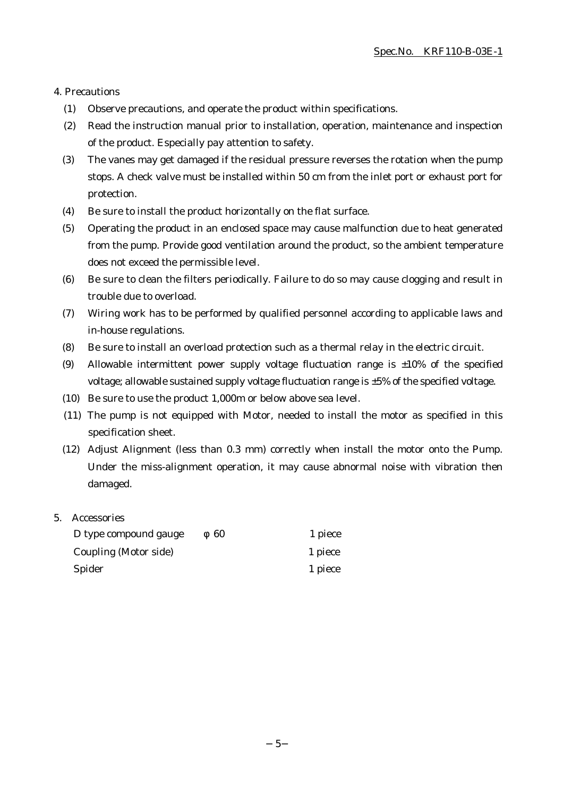#### 4. Precautions

- (1) Observe precautions, and operate the product within specifications.
- (2) Read the instruction manual prior to installation, operation, maintenance and inspection of the product. Especially pay attention to safety.
- (3) The vanes may get damaged if the residual pressure reverses the rotation when the pump stops. A check valve must be installed within 50 cm from the inlet port or exhaust port for protection.
- (4) Be sure to install the product horizontally on the flat surface.
- (5) Operating the product in an enclosed space may cause malfunction due to heat generated from the pump. Provide good ventilation around the product, so the ambient temperature does not exceed the permissible level.
- (6) Be sure to clean the filters periodically. Failure to do so may cause clogging and result in trouble due to overload.
- (7) Wiring work has to be performed by qualified personnel according to applicable laws and in-house regulations.
- (8) Be sure to install an overload protection such as a thermal relay in the electric circuit.
- (9) Allowable intermittent power supply voltage fluctuation range is  $\pm 10\%$  of the specified voltage; allowable sustained supply voltage fluctuation range is ±5% of the specified voltage.
- (10) Be sure to use the product 1,000m or below above sea level.
- (11) The pump is not equipped with Motor, needed to install the motor as specified in this specification sheet.
- (12) Adjust Alignment (less than 0.3 mm) correctly when install the motor onto the Pump. Under the miss-alignment operation, it may cause abnormal noise with vibration then damaged.

#### 5. Accessories

| D type compound gauge | 60 | 1 piece |
|-----------------------|----|---------|
| Coupling (Motor side) |    | 1 piece |
| Spider                |    | 1 piece |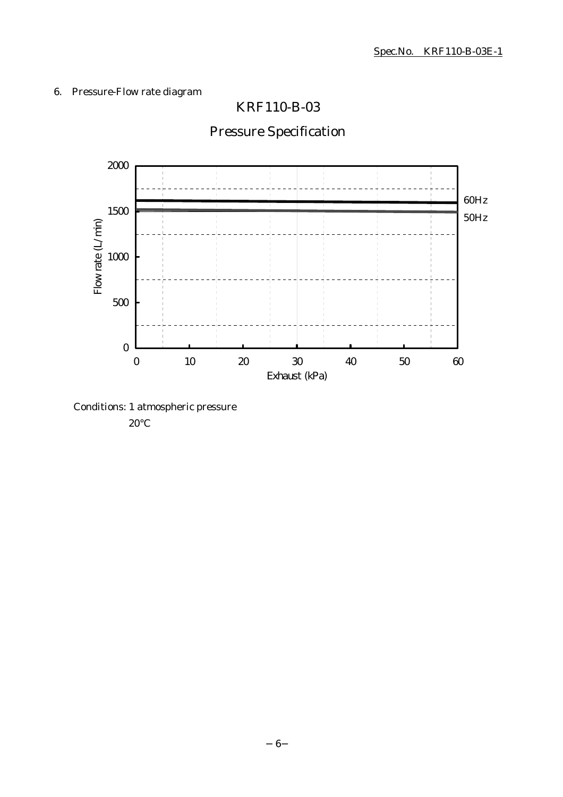# 6. Pressure-Flow rate diagram



# Pressure Specification

KRF110-B-03

Conditions: 1 atmospheric pressure

20